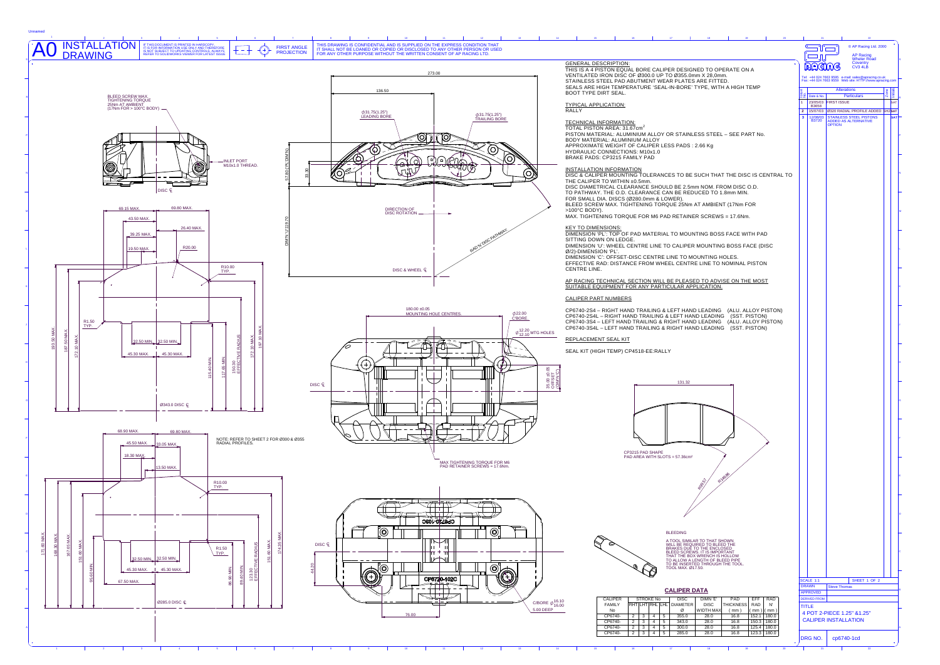| INSTALLATION<br>DRAWING<br>IF THIS DOCUMENT IS PRINTED IN HARDCOPY,<br>IT IS FOR INFORMATION USE ONLY AND THEREFORE<br>IS NOT SUBJECT TO UPDATING CONTROLS, ALWAYS<br>REFER TO SOLIDWORKS VIEWER FOR LATEST ISSUE<br><b>FIRST ANGLE</b><br><b>PROJECTION</b>                  | THIS DRAWING IS CONFIDENTIAL AND IS SUPPLIED ON THE EXPRESS CONDITION THAT<br>IT SHALL NOT BE LOANED OR COPIED OR DISCLOSED TO ANY OTHER PERSON OR USED<br>FOR ANY OTHER PURPOSE WITHOUT THE WRITTEN CONSENT OF AP RACING LTD. |                                                                                                                                                                                                                                                                                                                                                                                                                                                                                      | © AP Racing Ltd. 2000<br>$\Box$<br><b>AP Racing</b><br>$\Box$                                                                                                                                                                                   |
|-------------------------------------------------------------------------------------------------------------------------------------------------------------------------------------------------------------------------------------------------------------------------------|--------------------------------------------------------------------------------------------------------------------------------------------------------------------------------------------------------------------------------|--------------------------------------------------------------------------------------------------------------------------------------------------------------------------------------------------------------------------------------------------------------------------------------------------------------------------------------------------------------------------------------------------------------------------------------------------------------------------------------|-------------------------------------------------------------------------------------------------------------------------------------------------------------------------------------------------------------------------------------------------|
|                                                                                                                                                                                                                                                                               | 273.00<br>136.50                                                                                                                                                                                                               | <b>GENERAL DESCRIPTION:</b><br>THIS IS A 4 PISTON EQUAL BORE CALIPER DESIGNED TO OPERATE ON A<br>VENTILATED IRON DISC OF Ø300.0 UP TO Ø355.0mm X 28,0mm.<br>STAINLESS STEEL PAD ABUTMENT WEAR PLATES ARE FITTED.<br>SEALS ARE HIGH TEMPERATURE 'SEAL-IN-BORE' TYPE, WITH A HIGH TEMP<br><b>BOOT TYPE DIRT SEAL.</b>                                                                                                                                                                  | <b>Wheler Road</b><br>Coventry<br>CV3 4LB<br><b>RACHAG</b><br>Tel: +44 024 7663 9595 e-mail: sales@apracing.co.uk<br>Fax: +44 024 7663 9559 Web site: HTTP://www.apracing.cor<br><b>Alterations</b><br>Particulars<br>$\frac{10}{2}$ Date & No. |
| BLEED SCREW MAX.<br>TIGHTENING TORQUE<br>25Nm AT AMBIENT<br>(17Nm FOR > 100°C BODY)<br><b>INLET PORT</b>                                                                                                                                                                      | $\phi$ 31.75(1.25")<br>$\phi$ 31.75(1.25")<br><b>LEADING BORE</b><br><b>TRAILING BORE</b><br>10<br>Ծ<br>$\Omega$<br>∩                                                                                                          | <b>TYPICAL APPLICATION:</b><br><b>RALLY</b><br><b>TECHNICAL INFORMATION:</b><br>TOTAL PISTON AREA: 31.67cm <sup>2</sup><br>PISTON MATERIAL: ALUMINIUM ALLOY OR STAINLESS STEEL - SEE PART No.<br>BODY MATERIAL: ALUMINIUM ALLOY<br>APPROXIMATE WEIGHT OF CALIPER LESS PADS: 2.66 Kg<br>HYDRAULIC CONNECTIONS: M10x1.0<br>BRAKE PADS: CP3215 FAMILY PAD                                                                                                                               | 1 23/05/03 FIRST ISSUE<br><b>B3658</b><br>2 15/07/03 0320 RADIAL PROFILE ADDED SH2SAT<br>- 3-l<br>12/08/03 STAINLESS STEEL PISTONS<br>B3720 ADDED AS ALTERNATIVE<br>OPTION                                                                      |
| M10x1.0 THREAD.<br>DISC C<br>69.80 MAX.<br>69.15 MAX.<br>43.50 MAX.                                                                                                                                                                                                           | ₩₩<br>OI<br>DIRECTION OF<br>DISC ROTATION                                                                                                                                                                                      | <b>INSTALLATION INFORMATION</b><br>DISC & CALIPER MOUNTING TOLERANCES TO BE SUCH THAT THE DISC IS CENTRAL TO<br>THE CALIPER TO WITHIN ±0.5mm.<br>DISC DIAMETRICAL CLEARANCE SHOULD BE 2.5mm NOM. FROM DISC O.D.<br>TO PATHWAY. THE O.D. CLEARANCE CAN BE REDUCED TO 1.8mm MIN.<br>FOR SMALL DIA. DISCS (Ø280.0mm & LOWER).<br>BLEED SCREW MAX. TIGHTENING TORQUE 25Nm AT AMBIENT (17Nm FOR<br>$>100^{\circ}$ C BODY).<br>MAX. TIGHTENING TORQUE FOR M6 PAD RETAINER SCREWS = 17.6Nm. |                                                                                                                                                                                                                                                 |
| 26.40 MAX.<br>39.25 MAX.<br>R20.00<br>19.50 MAX.<br>R10.00<br>TYP.                                                                                                                                                                                                            | DISC & WHEEL Q                                                                                                                                                                                                                 | <b>KEY TO DIMENSIONS:</b><br>DIMENSION 'PL': TOP OF PAD MATERIAL TO MOUNTING BOSS FACE WITH PAD<br>SITTING DOWN ON LEDGE.<br>DIMENSION 'U': WHEEL CENTRE LINE TO CALIPER MOUNTING BOSS FACE (DISC<br>Ø/2)-DIMENSION 'PL'.<br>DIMENSION 'C': OFFSET-DISC CENTRE LINE TO MOUNTING HOLES.<br>EFFECTIVE RAD: DISTANCE FROM WHEEL CENTRE LINE TO NOMINAL PISTON<br>CENTRE LINE.<br>AP RACING TECHNICAL SECTION WILL BE PLEASED TO ADVISE ON THE MOST                                      |                                                                                                                                                                                                                                                 |
|                                                                                                                                                                                                                                                                               |                                                                                                                                                                                                                                | SUITABLE EQUIPMENT FOR ANY PARTICULAR APPLICATION.                                                                                                                                                                                                                                                                                                                                                                                                                                   |                                                                                                                                                                                                                                                 |
| R <sub>1.50</sub><br>TYP.                                                                                                                                                                                                                                                     | $180.00 \pm 0.05$<br><b>MOUNTING HOLE CENTRES</b><br>Ø22.00<br>C'BORE.<br>$\varphi_{12.10}^{12.20}$ MTG HOLES                                                                                                                  | <b>CALIPER PART NUMBERS</b><br>CP6740-2S4 - RIGHT HAND TRAILING & LEFT HAND LEADING (ALU. ALLOY PISTON)<br>CP6740-2S4L - RIGHT HAND TRAILING & LEFT HAND LEADING (SST. PISTON)<br>CP6740-3S4 - LEFT HAND TRAILING & RIGHT HAND LEADING (ALU. ALLOY PISTON)<br>CP6740-3S4L - LEFT HAND TRAILING & RIGHT HAND LEADING (SST. PISTON)                                                                                                                                                    |                                                                                                                                                                                                                                                 |
| $10$ MAX<br>50 MA)<br><b>TIVE RADIUS</b><br>172.10 MAX<br>32.50 MIN. 32.50 MIN.<br>45.30 MAX. 45.30 MAX.<br>150.30<br>EFFEC<br>17.65<br>Ø343.0 DISC Q                                                                                                                         | 畬<br>$rac{1}{20}$<br>$rac{1}{23}$<br>$rac{1}{23}$<br>U<br>DISC Q<br>"说出                                                                                                                                                        | <b>REPLACEMENT SEAL KIT</b><br>SEAL KIT (HIGH TEMP) CP4518-EE:RALLY<br>131.32                                                                                                                                                                                                                                                                                                                                                                                                        |                                                                                                                                                                                                                                                 |
| 68.90 MAX.<br>69.80 MAX.<br>NOTE: REFER TO SHEET 2 FOR Ø300 & Ø355<br>RADIAL PROFILES.<br>45.50 MAX.<br>33.05 MAX,<br>18.30 MAX.<br>13.50 MAX.<br>$\rightarrow$<br>R <sub>10.00</sub>                                                                                         | MAX TIGHTENING TORQUE FOR M6<br>PAD RETAINER SCREWS = 17.6Nm.                                                                                                                                                                  | CP3215 PAD SHAPE<br>PAD AREA WITH SLOTS = 57.36cm <sup>2</sup><br><b>RIADI</b>                                                                                                                                                                                                                                                                                                                                                                                                       |                                                                                                                                                                                                                                                 |
| TYP.<br>68.30 MAX<br>167.65 MA<br><b>SAM 09</b><br>151.60 MAX<br>R <sub>1.50</sub><br><b>RADI</b><br>Z,<br>TYP.<br>ছ<br>32.50 MIN. 32.50 MIN.<br>TIVE<br>န္က ပ္ဗ်<br>36.90 MIN<br>40 MIN<br>45.30 MAX. 45.30 MAX.<br>ଞା<br>23.<br>$\mathbb{R}$<br>67.50 MAX.<br>Ø285.0 DISC Q | $77\pm1.1$<br>ハーロフ<br><b>CPST20-103C</b><br>۱<br>$\circledcirc$<br>◡<br>DISC <sub>Q</sub><br>ILANI<br>O<br>$\odot\}$<br>€<br>CP6720-102C<br>过立<br>C/BORE $\phi_{16.00}^{16.10}$                                                | <b>BLEEDING</b><br>A TOOL SIMILAR TO THAT SHOWN<br>WILL BE REQUIRED TO BLEED THE<br>BRAKES DUE TO THE ENCLOSED<br>BLEED SCREWS. IT IS IMPORTANT<br>THAT THE BOX WRENCH IS HOLLOW<br>TO ALLOW A LENGTH OF BLEED PIPE<br>TO BE INSERTED THROUGH THE TOOL<br>TOOL MAX. Ø17.50.<br><b>CALIPER DATA</b><br>CALIPER<br><b>STROKE No</b><br>PAD<br>DIMN 'E'<br>EFF RAD<br><b>DISC</b><br><b>DISC</b><br><b>HICKNESS</b><br>RAD<br><b>FAMILY</b><br>RHT LHT RHL LHL DIAMETER<br>N'           | SCALE 1:1<br>SHEET 1 OF 2<br><b>DRAWN</b><br><b>Steve Thomas</b><br><b>APPROVED</b><br><b>DERIVED FROM</b><br>TITLE                                                                                                                             |
|                                                                                                                                                                                                                                                                               | 5.00 DEEP<br>76.00                                                                                                                                                                                                             | VIDTH MAX<br>No<br>ø<br>(mm)<br>$mm$ )<br>(mm)<br>CP6740-<br>$2 \mid 3 \mid$<br>355.0<br>28.0<br>16.8<br>152.1 180.0<br>$\overline{4}$<br>5<br>CP6740-<br>16.8<br>150.3 180.0<br>343.0<br>28.0<br>$2 \mid 3 \mid 4 \mid 5 \mid$<br>CP6740-<br>125.4 180.0<br>16.8<br>2 3 4 5<br>300.0<br>28.0<br>CP6740-<br>28.0<br>16.8<br>123.3 180.0<br>2 3 4 5<br>285.0                                                                                                                          | 4 POT 2-PIECE 1.25" &1.25"<br><b>CALIPER INSTALLATION</b><br>cp6740-1cd<br>DRG NO.                                                                                                                                                              |

B

A

D

E

F

G

H

K

M

N

P

R

S



Unnamed

### TYPICAL APPLICATION: **RALLY**







## 2 | 3 | 4 | 5 | 6 | 7 | 8 | 9 | 10 | 11 | 12 | 13 | 14 | 15 | 16 **AO** INSTALLATION **IF THIS DOCUMENT IS PRINTED IN HARDCOPY,**<br>IS NOT SUBJECT TO UPDATING CONTROLS AND THEREFORE TO SOLIDWORKS VIEWER FOR LATEST ISSUE **DRAWING**











# CALIPER PART NUMBERS

## REPLACEMENT SEAL KIT

| <b>CALIPER</b> | SIRUKE NO |   | DISC                | DIMN E' | PAD             | 바           | <b>RAD</b>       |            |       |
|----------------|-----------|---|---------------------|---------|-----------------|-------------|------------------|------------|-------|
| <b>FAMILY</b>  |           |   | <b>RHTLHTRHLLHL</b> |         | <b>DIAMETER</b> | <b>DISC</b> | <b>THICKNESS</b> | <b>RAD</b> | N     |
| <b>No</b>      |           |   |                     |         | Ø               | WIDTH MAX   | mm               | mm         | mm)   |
| CP6740-        |           | 3 |                     | 5       | 355.0           | 28.0        | 16.8             | 152.1      | 180.0 |
| CP6740-        |           | 3 |                     |         | 343.0           | 28.0        | 16.8             | 150.3      | 180.0 |
| CP6740-        |           | 3 |                     | 5       | 300.0           | 28.0        | 16.8             | 125.4      | 180.0 |
| CP6740-        |           | 3 |                     | 5       | 285.0           | 28.0        | 16.8             | 123.3      | 180.0 |